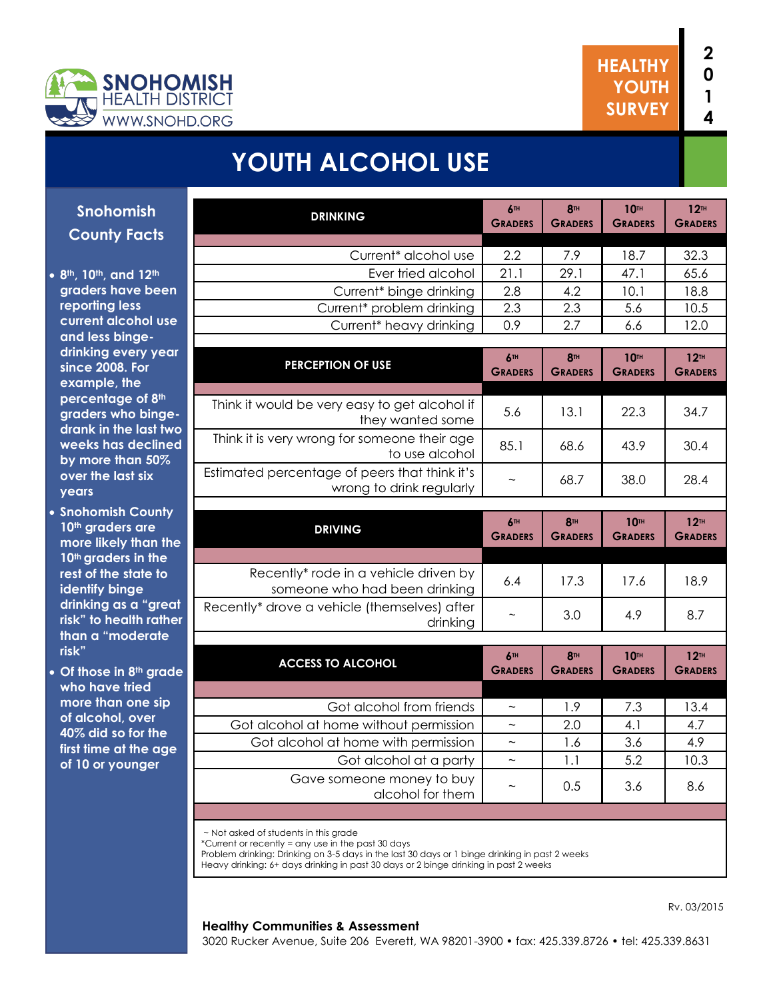



# **YOUTH ALCOHOL USE**

| Snohomish                                               | <b>DRINKING</b>                                                                             | 6TH<br><b>GRADERS</b>        | <b>8TH</b><br><b>GRADERS</b> | <b>10TH</b><br><b>GRADERS</b> | 12 <sup>TH</sup><br><b>GRADERS</b> |
|---------------------------------------------------------|---------------------------------------------------------------------------------------------|------------------------------|------------------------------|-------------------------------|------------------------------------|
| <b>County Facts</b>                                     |                                                                                             |                              |                              |                               |                                    |
|                                                         | Current* alcohol use                                                                        | 2.2                          | 7.9                          | 18.7                          | 32.3                               |
| 8th, 10th, and 12th                                     | Ever tried alcohol                                                                          | 21.1                         | 29.1                         | 47.1                          | 65.6                               |
| graders have been                                       | Current* binge drinking                                                                     | 2.8                          | 4.2                          | 10.1                          | 18.8                               |
| reporting less                                          | Current* problem drinking                                                                   | 2.3                          | 2.3                          | 5.6                           | 10.5                               |
| current alcohol use                                     | Current <sup>*</sup> heavy drinking                                                         | 0.9                          | 2.7                          | 6.6                           | 12.0                               |
| and less binge-                                         |                                                                                             |                              |                              |                               |                                    |
| drinking every year<br>since 2008. For                  | <b>PERCEPTION OF USE</b>                                                                    | 6TH                          | <b>8TH</b>                   | <b>10TH</b>                   | 12 <sup>TH</sup>                   |
| example, the                                            |                                                                                             | <b>GRADERS</b>               | <b>GRADERS</b>               | <b>GRADERS</b>                | <b>GRADERS</b>                     |
| percentage of 8th                                       | Think it would be very easy to get alcohol if                                               |                              |                              |                               |                                    |
| graders who binge-<br>drank in the last two             | they wanted some                                                                            | 5.6                          | 13.1                         | 22.3                          | 34.7                               |
| weeks has declined<br>by more than 50%                  | Think it is very wrong for someone their age<br>to use alcohol                              | 85.1                         | 68.6                         | 43.9                          | 30.4                               |
| over the last six<br>years                              | Estimated percentage of peers that think it's<br>wrong to drink regularly                   | $\widetilde{\phantom{m}}$    | 68.7                         | 38.0                          | 28.4                               |
| <b>Snohomish County</b>                                 |                                                                                             |                              |                              |                               |                                    |
| 10th graders are                                        | <b>DRIVING</b>                                                                              | 6TH<br><b>GRADERS</b>        | <b>8TH</b><br><b>GRADERS</b> | <b>10TH</b><br><b>GRADERS</b> | 12 <sup>TH</sup><br><b>GRADERS</b> |
| more likely than the<br>10 <sup>th</sup> graders in the |                                                                                             |                              |                              |                               |                                    |
| rest of the state to                                    | Recently* rode in a vehicle driven by                                                       | 6.4                          | 17.3                         | 17.6                          | 18.9                               |
| identify binge                                          | someone who had been drinking                                                               |                              |                              |                               |                                    |
| drinking as a "great<br>risk" to health rather          | Recently* drove a vehicle (themselves) after<br>drinking                                    | $\sim$                       | 3.0                          | 4.9                           | 8.7                                |
| than a "moderate                                        |                                                                                             |                              |                              |                               |                                    |
| risk"<br>Of those in 8th grade                          | <b>ACCESS TO ALCOHOL</b>                                                                    | <b>6TH</b><br><b>GRADERS</b> | <b>8TH</b><br><b>GRADERS</b> | <b>10TH</b><br><b>GRADERS</b> | 12 <sup>TH</sup><br><b>GRADERS</b> |
| who have tried                                          |                                                                                             |                              |                              |                               |                                    |
| more than one sip                                       | Got alcohol from friends                                                                    | $\sim$                       | 1.9                          | 7.3                           | 13.4                               |
| of alcohol, over                                        | Got alcohol at home without permission                                                      | $\widetilde{\phantom{m}}$    | 2.0                          | 4.1                           | 4.7                                |
| 40% did so for the                                      | Got alcohol at home with permission                                                         | $\sim$                       | 1.6                          | 3.6                           | 4.9                                |
| first time at the age<br>of 10 or younger               | Got alcohol at a party                                                                      | $\sim$                       | 1.1                          | 5.2                           | 10.3                               |
|                                                         | Gave someone money to buy<br>alcohol for them                                               | $\sim$                       | 0.5                          | 3.6                           | 8.6                                |
|                                                         |                                                                                             |                              |                              |                               |                                    |
|                                                         | ~ Not asked of students in this grade<br>*Current or recently = any use in the past 30 days |                              |                              |                               |                                    |

Problem drinking: Drinking on 3-5 days in the last 30 days or 1 binge drinking in past 2 weeks

Heavy drinking: 6+ days drinking in past 30 days or 2 binge drinking in past 2 weeks

#### **Healthy Communities & Assessment**

Rv. 03/2015

3020 Rucker Avenue, Suite 206 Everett, WA 98201-3900 • fax: 425.339.8726 • tel: 425.339.8631

**8**<sup>th</sup>, 10<sup>th</sup>, and graders have **reporting less current alcoh** and less bing drinking ever **since 2008. F example, the percentage** graders who drank in the weeks has d

**years Snohomish C** 10<sup>th</sup> graders **more likely the** 10<sup>th</sup> graders i rest of the sto **identify bing** drinking as a risk" to healtl than a "mod **risk"**

**v** Of those in 8<sup>t</sup> **who have trie** more than or of alcohol, of **40% did so for** first time at th of 10 or youn